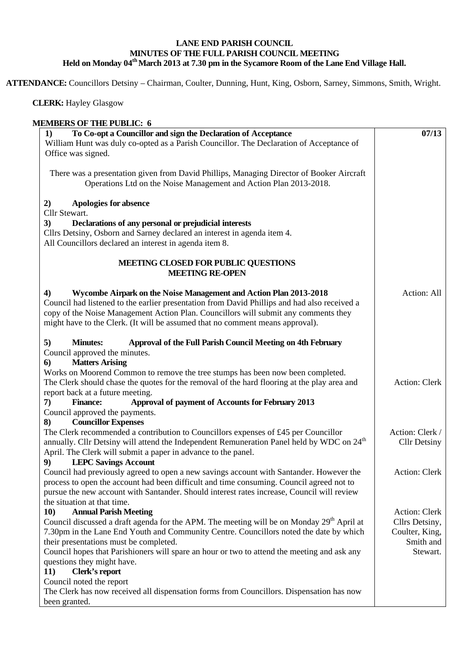## **LANE END PARISH COUNCIL MINUTES OF THE FULL PARISH COUNCIL MEETING Held on Monday 04th March 2013 at 7.30 pm in the Sycamore Room of the Lane End Village Hall.**

**ATTENDANCE:** Councillors Detsiny – Chairman, Coulter, Dunning, Hunt, King, Osborn, Sarney, Simmons, Smith, Wright.

## **CLERK:** Hayley Glasgow

| <b>MEMBERS OF THE PUBLIC: 6</b>                                                                       |                     |
|-------------------------------------------------------------------------------------------------------|---------------------|
| To Co-opt a Councillor and sign the Declaration of Acceptance<br>1)                                   | 07/13               |
| William Hunt was duly co-opted as a Parish Councillor. The Declaration of Acceptance of               |                     |
| Office was signed.                                                                                    |                     |
| There was a presentation given from David Phillips, Managing Director of Booker Aircraft              |                     |
| Operations Ltd on the Noise Management and Action Plan 2013-2018.                                     |                     |
|                                                                                                       |                     |
| <b>Apologies for absence</b><br>2)                                                                    |                     |
| Cllr Stewart.                                                                                         |                     |
| Declarations of any personal or prejudicial interests<br>3)                                           |                     |
| Cllrs Detsiny, Osborn and Sarney declared an interest in agenda item 4.                               |                     |
| All Councillors declared an interest in agenda item 8.                                                |                     |
| MEETING CLOSED FOR PUBLIC QUESTIONS                                                                   |                     |
| <b>MEETING RE-OPEN</b>                                                                                |                     |
| Wycombe Airpark on the Noise Management and Action Plan 2013-2018<br>4)                               | Action: All         |
| Council had listened to the earlier presentation from David Phillips and had also received a          |                     |
| copy of the Noise Management Action Plan. Councillors will submit any comments they                   |                     |
| might have to the Clerk. (It will be assumed that no comment means approval).                         |                     |
|                                                                                                       |                     |
| Approval of the Full Parish Council Meeting on 4th February<br>5)<br><b>Minutes:</b>                  |                     |
| Council approved the minutes.<br><b>Matters Arising</b><br>6)                                         |                     |
| Works on Moorend Common to remove the tree stumps has been now been completed.                        |                     |
| The Clerk should chase the quotes for the removal of the hard flooring at the play area and           | Action: Clerk       |
| report back at a future meeting.                                                                      |                     |
| Approval of payment of Accounts for February 2013<br><b>Finance:</b><br>7)                            |                     |
| Council approved the payments.                                                                        |                     |
| <b>Councillor Expenses</b><br>8)                                                                      |                     |
| The Clerk recommended a contribution to Councillors expenses of £45 per Councillor                    | Action: Clerk /     |
| annually. Cllr Detsiny will attend the Independent Remuneration Panel held by WDC on 24 <sup>th</sup> | <b>Cllr Detsiny</b> |
| April. The Clerk will submit a paper in advance to the panel.                                         |                     |
| <b>LEPC Savings Account</b><br>9)                                                                     |                     |
| Council had previously agreed to open a new savings account with Santander. However the               | Action: Clerk       |
| process to open the account had been difficult and time consuming. Council agreed not to              |                     |
| pursue the new account with Santander. Should interest rates increase, Council will review            |                     |
| the situation at that time.                                                                           |                     |
| <b>Annual Parish Meeting</b><br><b>10)</b>                                                            | Action: Clerk       |
| Council discussed a draft agenda for the APM. The meeting will be on Monday 29 <sup>th</sup> April at | Cllrs Detsiny,      |
| 7.30pm in the Lane End Youth and Community Centre. Councillors noted the date by which                | Coulter, King,      |
| their presentations must be completed.                                                                | Smith and           |
| Council hopes that Parishioners will spare an hour or two to attend the meeting and ask any           | Stewart.            |
| questions they might have.                                                                            |                     |
| 11)<br>Clerk's report<br>Council noted the report                                                     |                     |
| The Clerk has now received all dispensation forms from Councillors. Dispensation has now              |                     |
| been granted.                                                                                         |                     |
|                                                                                                       |                     |